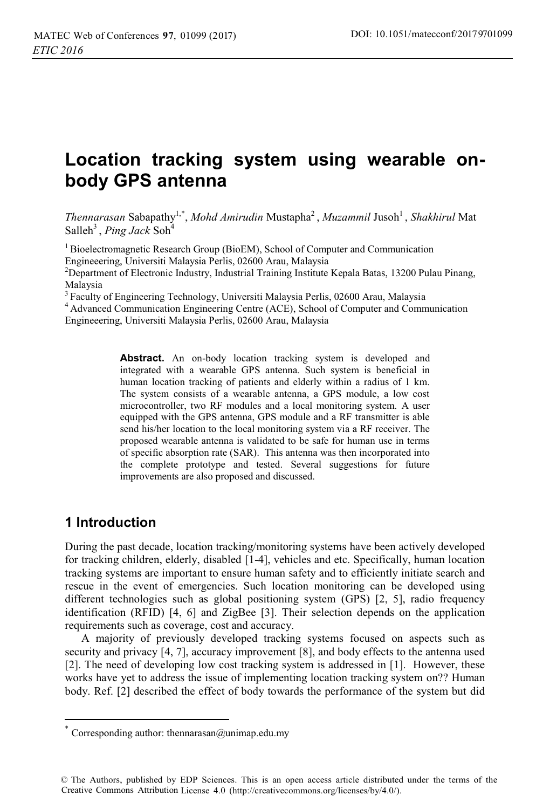# **Location tracking system using wearable onbody GPS antenna**

*Thennarasan* Sabapathy<sup>1,\*</sup>, *Mohd Amirudin* Mustapha<sup>2</sup>, *Muzammil Jusoh*<sup>1</sup>, *Shakhirul* Mat Salleh<sup>3</sup>, *Ping Jack* Soh<sup>4</sup>

<sup>1</sup> Bioelectromagnetic Research Group (BioEM), School of Computer and Communication Engineeering, Universiti Malaysia Perlis, 02600 Arau, Malaysia

<sup>2</sup>Department of Electronic Industry, Industrial Training Institute Kepala Batas, 13200 Pulau Pinang, Malaysia<br><sup>3</sup> Faculty of Engineering Technology, Universiti Malaysia Perlis, 02600 Arau, Malaysia

<sup>4</sup> Advanced Communication Engineering Centre (ACE), School of Computer and Communication Engineeering, Universiti Malaysia Perlis, 02600 Arau, Malaysia

> **Abstract.** An on-body location tracking system is developed and integrated with a wearable GPS antenna. Such system is beneficial in human location tracking of patients and elderly within a radius of 1 km. The system consists of a wearable antenna, a GPS module, a low cost microcontroller, two RF modules and a local monitoring system. A user equipped with the GPS antenna, GPS module and a RF transmitter is able send his/her location to the local monitoring system via a RF receiver. The proposed wearable antenna is validated to be safe for human use in terms of specific absorption rate (SAR). This antenna was then incorporated into the complete prototype and tested. Several suggestions for future improvements are also proposed and discussed.

### **1 Introduction**

 $\overline{a}$ 

During the past decade, location tracking/monitoring systems have been actively developed for tracking children, elderly, disabled [1-4], vehicles and etc. Specifically, human location tracking systems are important to ensure human safety and to efficiently initiate search and rescue in the event of emergencies. Such location monitoring can be developed using different technologies such as global positioning system (GPS) [2, 5], radio frequency identification (RFID) [4, 6] and ZigBee [3]. Their selection depends on the application requirements such as coverage, cost and accuracy.

A majority of previously developed tracking systems focused on aspects such as security and privacy [4, 7], accuracy improvement [8], and body effects to the antenna used [2]. The need of developing low cost tracking system is addressed in [1]. However, these works have yet to address the issue of implementing location tracking system on?? Human body. Ref. [2] described the effect of body towards the performance of the system but did

Corresponding author: thennarasan@unimap.edu.my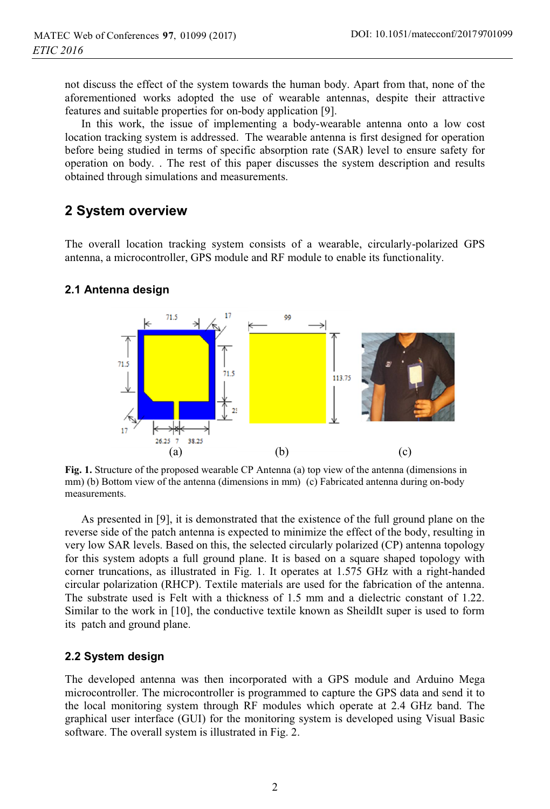not discuss the effect of the system towards the human body. Apart from that, none of the aforementioned works adopted the use of wearable antennas, despite their attractive features and suitable properties for on-body application [9].

In this work, the issue of implementing a body-wearable antenna onto a low cost location tracking system is addressed. The wearable antenna is first designed for operation before being studied in terms of specific absorption rate (SAR) level to ensure safety for operation on body. . The rest of this paper discusses the system description and results obtained through simulations and measurements.

# **2 System overview**

The overall location tracking system consists of a wearable, circularly-polarized GPS antenna, a microcontroller, GPS module and RF module to enable its functionality.

#### **2.1 Antenna design**



**Fig. 1.** Structure of the proposed wearable CP Antenna (a) top view of the antenna (dimensions in mm) (b) Bottom view of the antenna (dimensions in mm) (c) Fabricated antenna during on-body measurements.

As presented in [9], it is demonstrated that the existence of the full ground plane on the reverse side of the patch antenna is expected to minimize the effect of the body, resulting in very low SAR levels. Based on this, the selected circularly polarized (CP) antenna topology for this system adopts a full ground plane. It is based on a square shaped topology with corner truncations, as illustrated in Fig. 1. It operates at 1.575 GHz with a right-handed circular polarization (RHCP). Textile materials are used for the fabrication of the antenna. The substrate used is Felt with a thickness of 1.5 mm and a dielectric constant of 1.22. Similar to the work in [10], the conductive textile known as SheildIt super is used to form its patch and ground plane.

#### **2.2 System design**

The developed antenna was then incorporated with a GPS module and Arduino Mega microcontroller. The microcontroller is programmed to capture the GPS data and send it to the local monitoring system through RF modules which operate at 2.4 GHz band. The graphical user interface (GUI) for the monitoring system is developed using Visual Basic software. The overall system is illustrated in Fig. 2.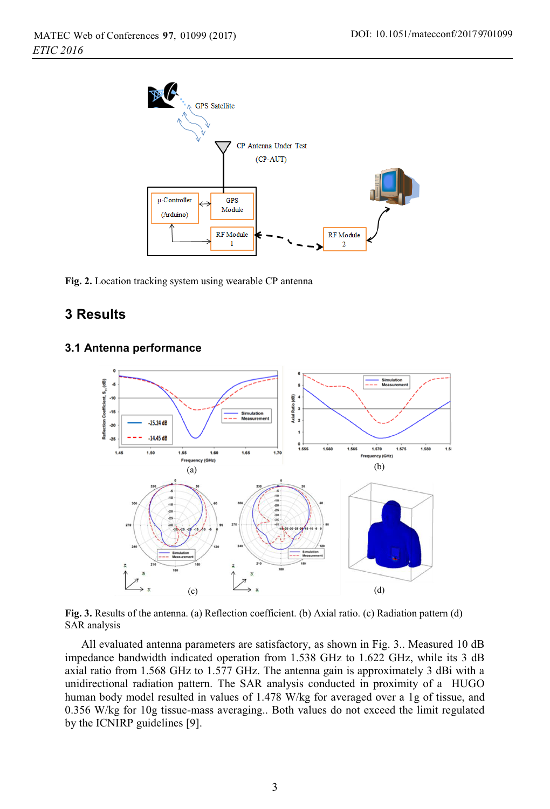

**Fig. 2.** Location tracking system using wearable CP antenna

### **3 Results**

#### **3.1 Antenna performance**



**Fig. 3.** Results of the antenna. (a) Reflection coefficient. (b) Axial ratio. (c) Radiation pattern (d) SAR analysis

All evaluated antenna parameters are satisfactory, as shown in Fig. 3.. Measured 10 dB impedance bandwidth indicated operation from 1.538 GHz to 1.622 GHz, while its 3 dB axial ratio from 1.568 GHz to 1.577 GHz. The antenna gain is approximately 3 dBi with a unidirectional radiation pattern. The SAR analysis conducted in proximity of a HUGO human body model resulted in values of 1.478 W/kg for averaged over a 1g of tissue, and 0.356 W/kg for 10g tissue-mass averaging.. Both values do not exceed the limit regulated by the ICNIRP guidelines [9].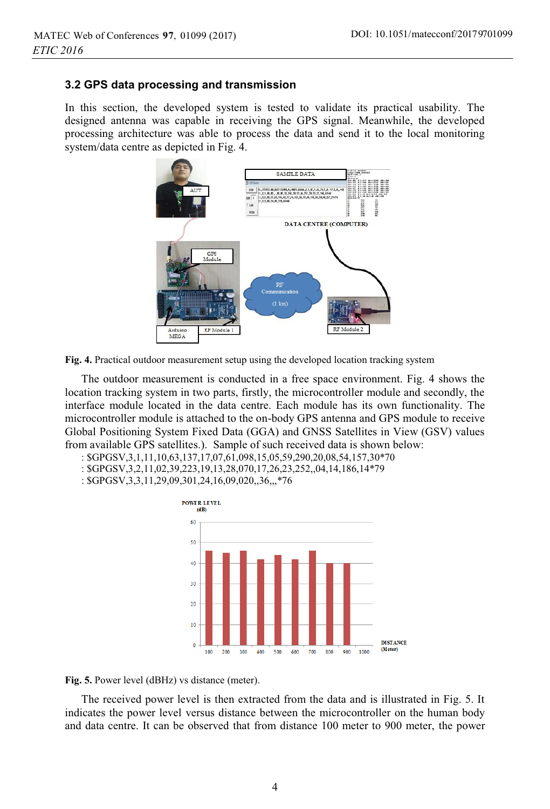#### **3.2 GPS data processing and transmission**

In this section, the developed system is tested to validate its practical usability. The designed antenna was capable in receiving the GPS signal. Meanwhile, the developed processing architecture was able to process the data and send it to the local monitoring system/data centre as depicted in Fig. 4.





The outdoor measurement is conducted in a free space environment. Fig. 4 shows the location tracking system in two parts, firstly, the microcontroller module and secondly, the interface module located in the data centre. Each module has its own functionality. The microcontroller module is attached to the on-body GPS antenna and GPS module to receive Global Positioning System Fixed Data (GGA) and GNSS Satellites in View (GSV) values from available GPS satellites.). Sample of such received data is shown below:

- : \$GPGSV,3,1,11,10,63,137,17,07,61,098,15,05,59,290,20,08,54,157,30\*70
- : \$GPGSV,3,2,11,02,39,223,19,13,28,070,17,26,23,252,,04,14,186,14\*79
- : \$GPGSV,3,3,11,29,09,301,24,16,09,020,,36,,,\*76



**Fig. 5.** Power level (dBHz) vs distance (meter).

The received power level is then extracted from the data and is illustrated in Fig. 5. It indicates the power level versus distance between the microcontroller on the human body and data centre. It can be observed that from distance 100 meter to 900 meter, the power